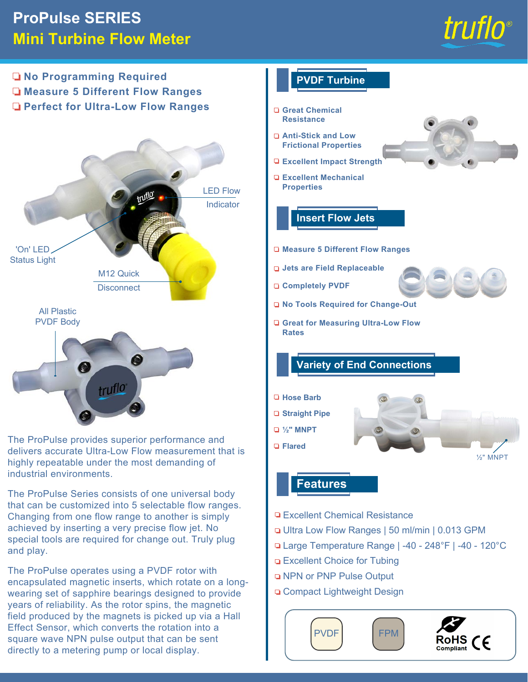# **ProPulse SERIES Mini Turbine Flow Meter**



½" MNPT

**No Programming Required PVDF Turbine Measure 5 Different Flow Ranges Perfect for Ultra-Low Flow Ranges Great Chemical Resistance Anti-Stick and Low Frictional Properties Excellent Impact Strength Excellent Mechanical Properties** truflo LED Flow Indicator **Insert Flow Jets**  'On' LED **Measure 5 Different Flow Ranges** Status Light **Jets are Field Replaceable**  M12 Quick **Completely PVDF Disconnect No Tools Required for Change-Out** All Plastic PVDF Body **Great for Measuring Ultra-Low Flow Rates Variety of End Connections** O truflo **Hose Barb Straight Pipe ½" MNPT** The ProPulse provides superior performance and **Flared**delivers accurate Ultra-Low Flow measurement that is highly repeatable under the most demanding of industrial environments.

The ProPulse Series consists of one universal body that can be customized into 5 selectable flow ranges. Changing from one flow range to another is simply achieved by inserting a very precise flow jet. No special tools are required for change out. Truly plug and play.

The ProPulse operates using a PVDF rotor with encapsulated magnetic inserts, which rotate on a longwearing set of sapphire bearings designed to provide years of reliability. As the rotor spins, the magnetic field produced by the magnets is picked up via a Hall Effect Sensor, which converts the rotation into a square wave NPN pulse output that can be sent directly to a metering pump or local display.

## **Features**

- □ Excellent Chemical Resistance
- Ultra Low Flow Ranges | 50 ml/min | 0.013 GPM
- Large Temperature Range | -40 248°F | -40 120°C
- □ Excellent Choice for Tubing
- **Q NPN or PNP Pulse Output**
- □ Compact Lightweight Design